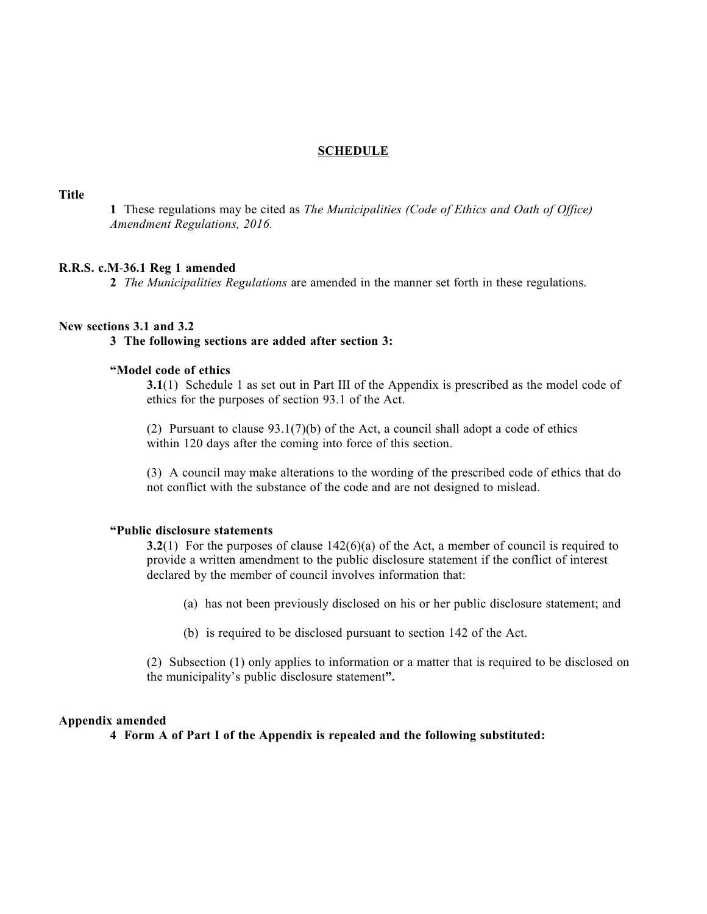#### **SCHEDULE**

**Title**

**1** These regulations may be cited as *The Municipalities (Code of Ethics and Oath of Office) Amendment Regulations, 2016.*

#### **R.R.S. c.M**-**36.1 Reg 1 amended**

**2** *The Municipalities Regulations* are amended in the manner set forth in these regulations.

#### **New sections 3.1 and 3.2**

#### **3 The following sections are added after section 3:**

# **"Model code of ethics**

**3.1**(1) Schedule 1 as set out in Part III of the Appendix is prescribed as the model code of ethics for the purposes of section 93.1 of the Act.

(2) Pursuant to clause 93.1(7)(b) of the Act, a council shall adopt a code of ethics within 120 days after the coming into force of this section.

(3) A council may make alterations to the wording of the prescribed code of ethics that do not conflict with the substance of the code and are not designed to mislead.

#### **"Public disclosure statements**

**3.2**(1) For the purposes of clause 142(6)(a) of the Act, a member of council is required to provide a written amendment to the public disclosure statement if the conflict of interest declared by the member of council involves information that:

(a) has not been previously disclosed on his or her public disclosure statement; and

(b) is required to be disclosed pursuant to section 142 of the Act.

(2) Subsection (1) only applies to information or a matter that is required to be disclosed on the municipality's public disclosure statement**".**

#### **Appendix amended**

**4 Form A of Part I of the Appendix is repealed and the following substituted:**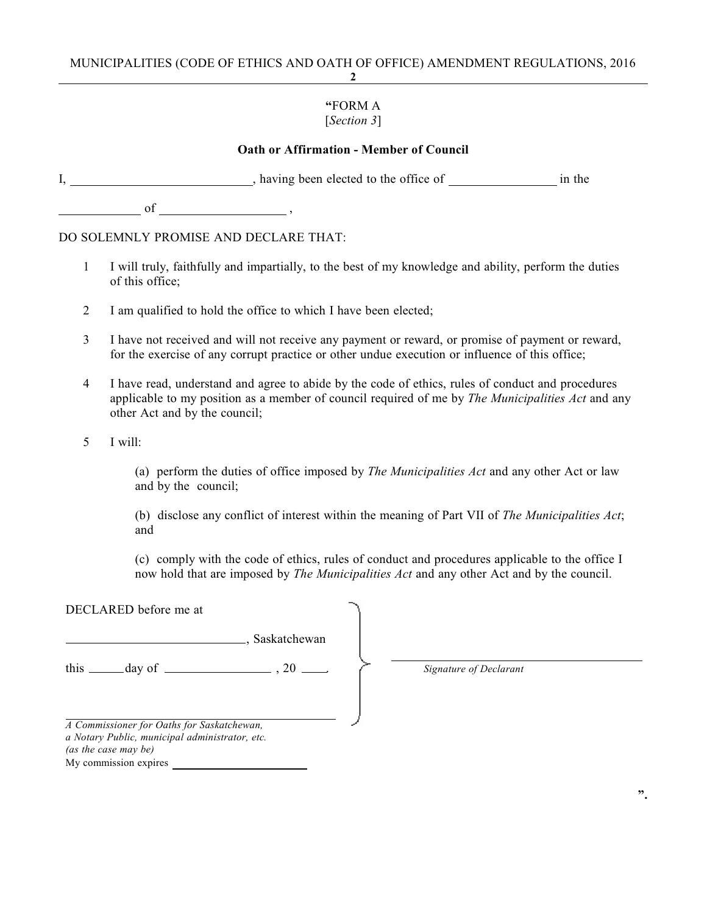# MUNICIPALITIES (CODE OF ETHICS AND OATH OF OFFICE) AMENDMENT REGULATIONS, 2016

# **2**

#### **"**FORM A [*Section 3*]

# **Oath or Affirmation - Member of Council**

|  | having been elected to the office of | in the |
|--|--------------------------------------|--------|
|--|--------------------------------------|--------|

of ,

DO SOLEMNLY PROMISE AND DECLARE THAT:

- 1 I will truly, faithfully and impartially, to the best of my knowledge and ability, perform the duties of this office;
- 2 I am qualified to hold the office to which I have been elected;
- 3 I have not received and will not receive any payment or reward, or promise of payment or reward, for the exercise of any corrupt practice or other undue execution or influence of this office;
- 4 I have read, understand and agree to abide by the code of ethics, rules of conduct and procedures applicable to my position as a member of council required of me by *The Municipalities Act* and any other Act and by the council;
- 5 I will:

(a) perform the duties of office imposed by *The Municipalities Act* and any other Act or law and by the council;

(b) disclose any conflict of interest within the meaning of Part VII of *The Municipalities Act*; and

(c) comply with the code of ethics, rules of conduct and procedures applicable to the office I now hold that are imposed by *The Municipalities Act* and any other Act and by the council.

| DECLARED before me at                                                                                                                         |                 |
|-----------------------------------------------------------------------------------------------------------------------------------------------|-----------------|
|                                                                                                                                               | ., Saskatchewan |
| this $\_\_\_\_$ day of $\_\_\_\_\_\_$ , 20 $\_\_\_\_\_$                                                                                       |                 |
| A Commissioner for Oaths for Saskatchewan,<br>a Notary Public, municipal administrator, etc.<br>(as the case may be)<br>My commission expires |                 |

*Signature of Declarant*

**".**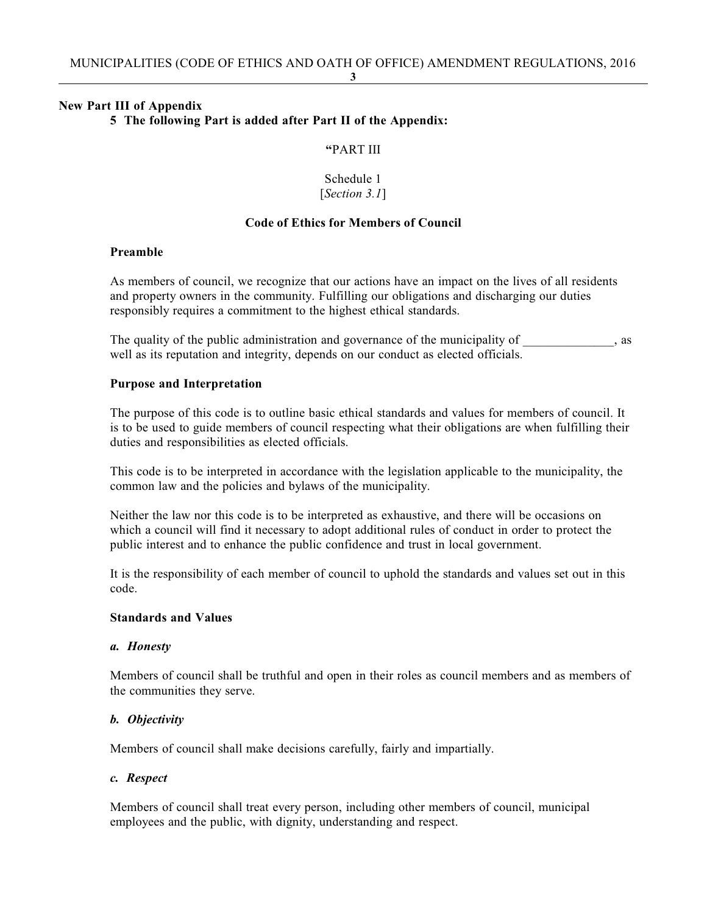**3**

#### **New Part III of Appendix**

#### **5 The following Part is added after Part II of the Appendix:**

#### **"**PART III

#### Schedule 1 [*Section 3.1*]

#### **Code of Ethics for Members of Council**

#### **Preamble**

As members of council, we recognize that our actions have an impact on the lives of all residents and property owners in the community. Fulfilling our obligations and discharging our duties responsibly requires a commitment to the highest ethical standards.

The quality of the public administration and governance of the municipality of  $\qquad \qquad$ , as well as its reputation and integrity, depends on our conduct as elected officials.

#### **Purpose and Interpretation**

The purpose of this code is to outline basic ethical standards and values for members of council. It is to be used to guide members of council respecting what their obligations are when fulfilling their duties and responsibilities as elected officials.

This code is to be interpreted in accordance with the legislation applicable to the municipality, the common law and the policies and bylaws of the municipality.

Neither the law nor this code is to be interpreted as exhaustive, and there will be occasions on which a council will find it necessary to adopt additional rules of conduct in order to protect the public interest and to enhance the public confidence and trust in local government.

It is the responsibility of each member of council to uphold the standards and values set out in this code.

# **Standards and Values**

#### *a. Honesty*

Members of council shall be truthful and open in their roles as council members and as members of the communities they serve.

# *b. Objectivity*

Members of council shall make decisions carefully, fairly and impartially.

# *c. Respect*

Members of council shall treat every person, including other members of council, municipal employees and the public, with dignity, understanding and respect.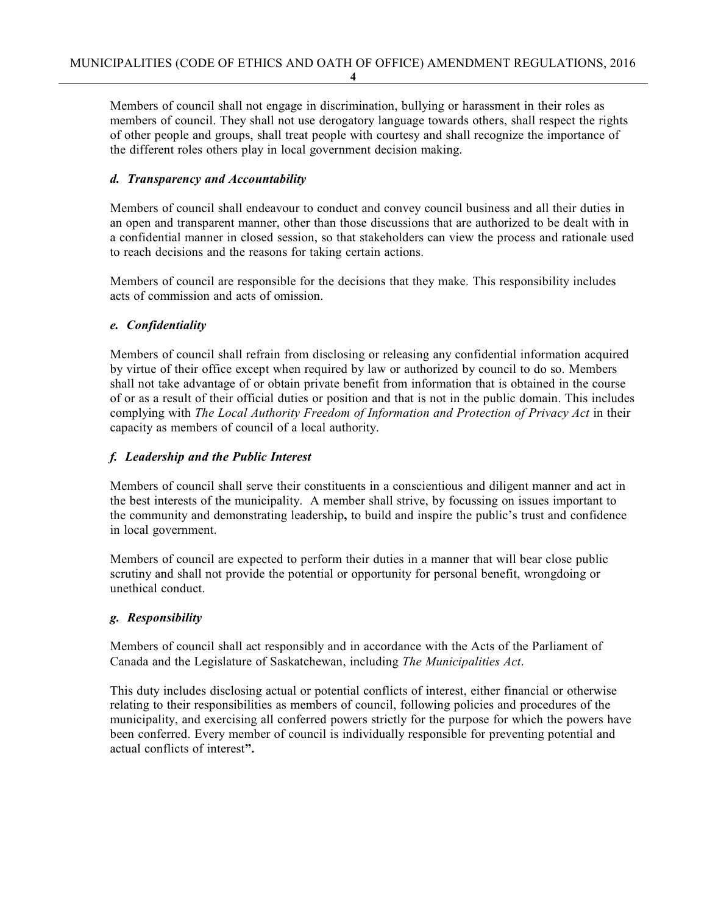Members of council shall not engage in discrimination, bullying or harassment in their roles as members of council. They shall not use derogatory language towards others, shall respect the rights of other people and groups, shall treat people with courtesy and shall recognize the importance of the different roles others play in local government decision making.

# *d. Transparency and Accountability*

Members of council shall endeavour to conduct and convey council business and all their duties in an open and transparent manner, other than those discussions that are authorized to be dealt with in a confidential manner in closed session, so that stakeholders can view the process and rationale used to reach decisions and the reasons for taking certain actions.

Members of council are responsible for the decisions that they make. This responsibility includes acts of commission and acts of omission.

# *e. Confidentiality*

Members of council shall refrain from disclosing or releasing any confidential information acquired by virtue of their office except when required by law or authorized by council to do so. Members shall not take advantage of or obtain private benefit from information that is obtained in the course of or as a result of their official duties or position and that is not in the public domain. This includes complying with *The Local Authority Freedom of Information and Protection of Privacy Act* in their capacity as members of council of a local authority.

# *f. Leadership and the Public Interest*

Members of council shall serve their constituents in a conscientious and diligent manner and act in the best interests of the municipality. A member shall strive, by focussing on issues important to the community and demonstrating leadership**,** to build and inspire the public's trust and confidence in local government.

Members of council are expected to perform their duties in a manner that will bear close public scrutiny and shall not provide the potential or opportunity for personal benefit, wrongdoing or unethical conduct.

# *g. Responsibility*

Members of council shall act responsibly and in accordance with the Acts of the Parliament of Canada and the Legislature of Saskatchewan, including *The Municipalities Act*.

This duty includes disclosing actual or potential conflicts of interest, either financial or otherwise relating to their responsibilities as members of council, following policies and procedures of the municipality, and exercising all conferred powers strictly for the purpose for which the powers have been conferred. Every member of council is individually responsible for preventing potential and actual conflicts of interest**".**